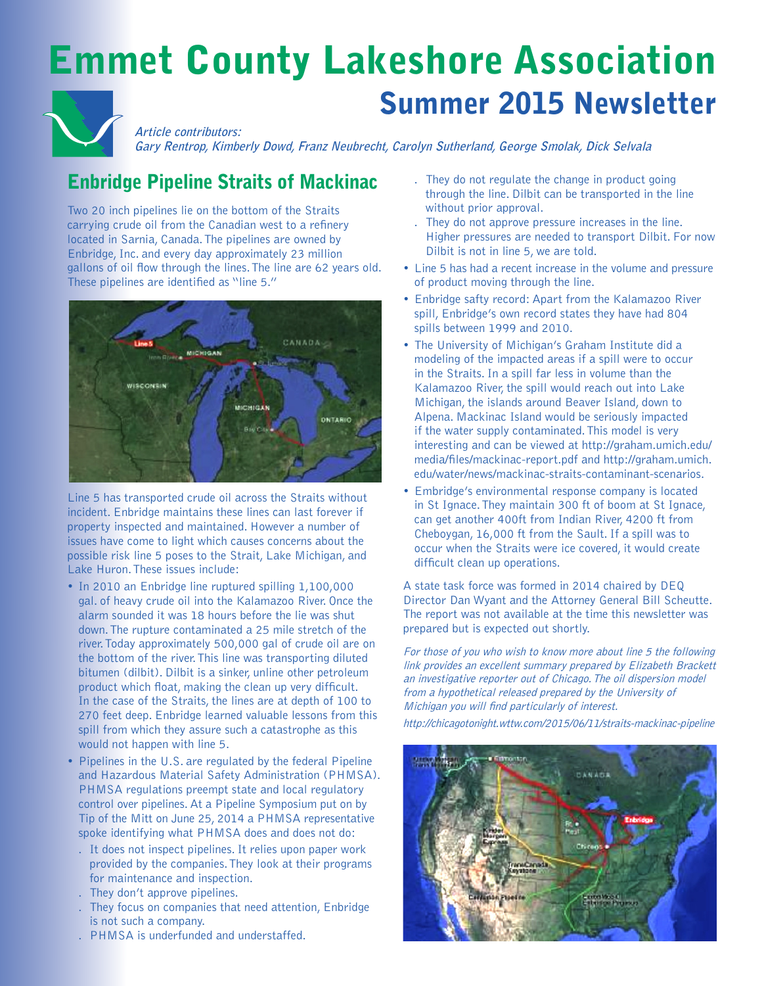# Emmet County Lakeshore Association Summer 2015 Newsletter



**Gary Rentrop, Kimberly Dowd, Franz Neubrecht, Carolyn Sutherland, George Smolak, Dick Selvala**

# Enbridge Pipeline Straits of Mackinac

Two 20 inch pipelines lie on the bottom of the Straits carrying crude oil from the Canadian west to a refinery located in Sarnia, Canada. The pipelines are owned by Enbridge, Inc. and every day approximately 23 million gallons of oil flow through the lines. The line are 62 years old. These pipelines are identified as "line 5."



Line 5 has transported crude oil across the Straits without incident. Enbridge maintains these lines can last forever if property inspected and maintained. However a number of issues have come to light which causes concerns about the possible risk line 5 poses to the Strait, Lake Michigan, and Lake Huron. These issues include:

- In 2010 an Enbridge line ruptured spilling 1,100,000 gal. of heavy crude oil into the Kalamazoo River. Once the alarm sounded it was 18 hours before the lie was shut down. The rupture contaminated a 25 mile stretch of the river. Today approximately 500,000 gal of crude oil are on the bottom of the river. This line was transporting diluted bitumen (dilbit). Dilbit is a sinker, unline other petroleum product which float, making the clean up very difficult. In the case of the Straits, the lines are at depth of 100 to 270 feet deep. Enbridge learned valuable lessons from this spill from which they assure such a catastrophe as this would not happen with line 5.
- Pipelines in the U.S. are regulated by the federal Pipeline and Hazardous Material Safety Administration (PHMSA). PHMSA regulations preempt state and local regulatory control over pipelines. At a Pipeline Symposium put on by Tip of the Mitt on June 25, 2014 a PHMSA representative spoke identifying what PHMSA does and does not do:
	- . It does not inspect pipelines. It relies upon paper work provided by the companies. They look at their programs for maintenance and inspection.
	- . They don't approve pipelines.
	- . They focus on companies that need attention, Enbridge is not such a company.
	- . PHMSA is underfunded and understaffed.
- . They do not regulate the change in product going through the line. Dilbit can be transported in the line without prior approval.
- . They do not approve pressure increases in the line. Higher pressures are needed to transport Dilbit. For now Dilbit is not in line 5, we are told.
- Line 5 has had a recent increase in the volume and pressure of product moving through the line.
- Enbridge safty record: Apart from the Kalamazoo River spill, Enbridge's own record states they have had 804 spills between 1999 and 2010.
- The University of Michigan's Graham Institute did a modeling of the impacted areas if a spill were to occur in the Straits. In a spill far less in volume than the Kalamazoo River, the spill would reach out into Lake Michigan, the islands around Beaver Island, down to Alpena. Mackinac Island would be seriously impacted if the water supply contaminated. This model is very interesting and can be viewed at http://graham.umich.edu/ media/files/mackinac-report.pdf and http://graham.umich. edu/water/news/mackinac-straits-contaminant-scenarios.
- Embridge's environmental response company is located in St Ignace. They maintain 300 ft of boom at St Ignace, can get another 400ft from Indian River, 4200 ft from Cheboygan, 16,000 ft from the Sault. If a spill was to occur when the Straits were ice covered, it would create difficult clean up operations.

A state task force was formed in 2014 chaired by DEQ Director Dan Wyant and the Attorney General Bill Scheutte. The report was not available at the time this newsletter was prepared but is expected out shortly.

For those of you who wish to know more about line 5 the following link provides an excellent summary prepared by Elizabeth Brackett an investigative reporter out of Chicago. The oil dispersion model from a hypothetical released prepared by the University of Michigan you will find particularly of interest.

http://chicagotonight.wttw.com/2015/06/11/straits-mackinac-pipeline

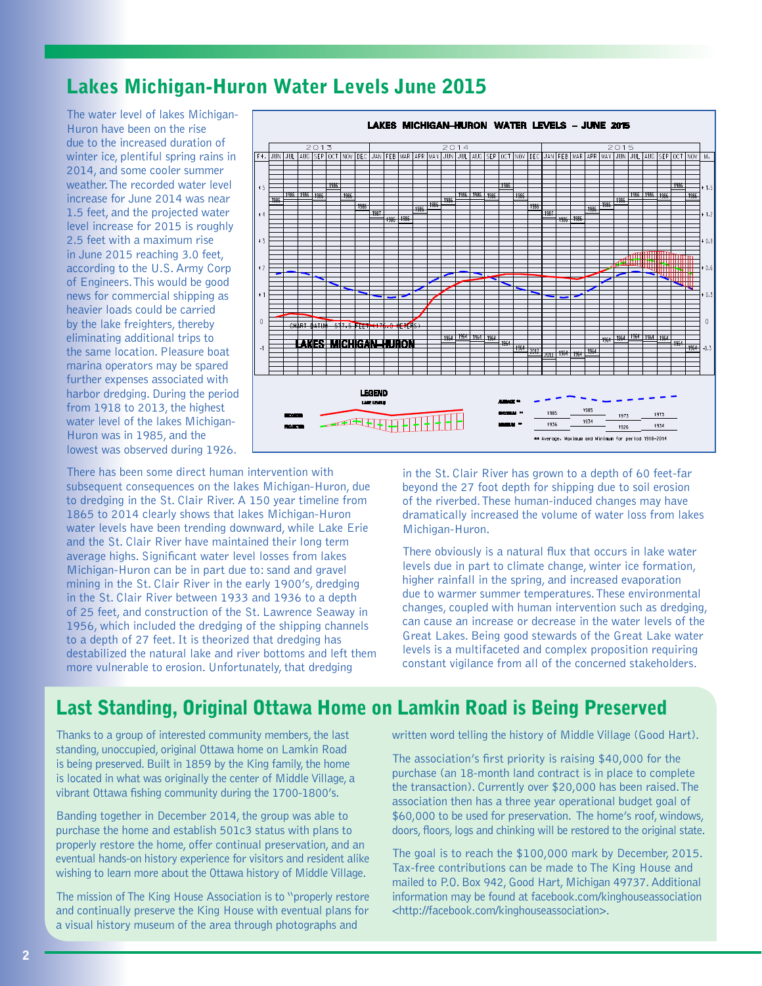### Lakes Michigan-Huron Water Levels June 2015

The water level of lakes Michigan-Huron have been on the rise due to the increased duration of winter ice, plentiful spring rains in 2014, and some cooler summer weather. The recorded water level increase for June 2014 was near 1.5 feet, and the projected water level increase for 2015 is roughly 2.5 feet with a maximum rise in June 2015 reaching 3.0 feet, according to the U.S. Army Corp of Engineers. This would be good news for commercial shipping as heavier loads could be carried by the lake freighters, thereby eliminating additional trips to the same location. Pleasure boat marina operators may be spared further expenses associated with harbor dredging. During the period from 1918 to 2013, the highest water level of the lakes Michigan-Huron was in 1985, and the lowest was observed during 1926.

There has been some direct human intervention with subsequent consequences on the lakes Michigan-Huron, due to dredging in the St. Clair River. A 150 year timeline from 1865 to 2014 clearly shows that lakes Michigan-Huron water levels have been trending downward, while Lake Erie and the St. Clair River have maintained their long term average highs. Significant water level losses from lakes Michigan-Huron can be in part due to: sand and gravel mining in the St. Clair River in the early 1900's, dredging in the St. Clair River between 1933 and 1936 to a depth of 25 feet, and construction of the St. Lawrence Seaway in 1956, which included the dredging of the shipping channels to a depth of 27 feet. It is theorized that dredging has destabilized the natural lake and river bottoms and left them more vulnerable to erosion. Unfortunately, that dredging



in the St. Clair River has grown to a depth of 60 feet-far beyond the 27 foot depth for shipping due to soil erosion of the riverbed. These human-induced changes may have dramatically increased the volume of water loss from lakes Michigan-Huron.

There obviously is a natural flux that occurs in lake water levels due in part to climate change, winter ice formation, higher rainfall in the spring, and increased evaporation due to warmer summer temperatures. These environmental changes, coupled with human intervention such as dredging, can cause an increase or decrease in the water levels of the Great Lakes. Being good stewards of the Great Lake water levels is a multifaceted and complex proposition requiring<br>constant vigilance from all of the concerned stakeholders.

# Last Standing, Original Ottawa Home on Lamkin Road is Being Preserved

Thanks to a group of interested community members, the last standing, unoccupied, original Ottawa home on Lamkin Road is being preserved. Built in 1859 by the King family, the home is located in what was originally the center of Middle Village, a vibrant Ottawa fishing community during the 1700-1800's.

Banding together in December 2014, the group was able to purchase the home and establish 501c3 status with plans to properly restore the home, offer continual preservation, and an eventual hands-on history experience for visitors and resident alike wishing to learn more about the Ottawa history of Middle Village.

The mission of The King House Association is to "properly restore and continually preserve the King House with eventual plans for a visual history museum of the area through photographs and

written word telling the history of Middle Village (Good Hart).

The association's first priority is raising \$40,000 for the purchase (an 18-month land contract is in place to complete the transaction). Currently over \$20,000 has been raised. The association then has a three year operational budget goal of \$60,000 to be used for preservation. The home's roof, windows, doors, floors, logs and chinking will be restored to the original state.

The goal is to reach the \$100,000 mark by December, 2015. Tax-free contributions can be made to The King House and mailed to P.O. Box 942, Good Hart, Michigan 49737. Additional information may be found at facebook.com/kinghouseassociation <http://facebook.com/kinghouseassociation>.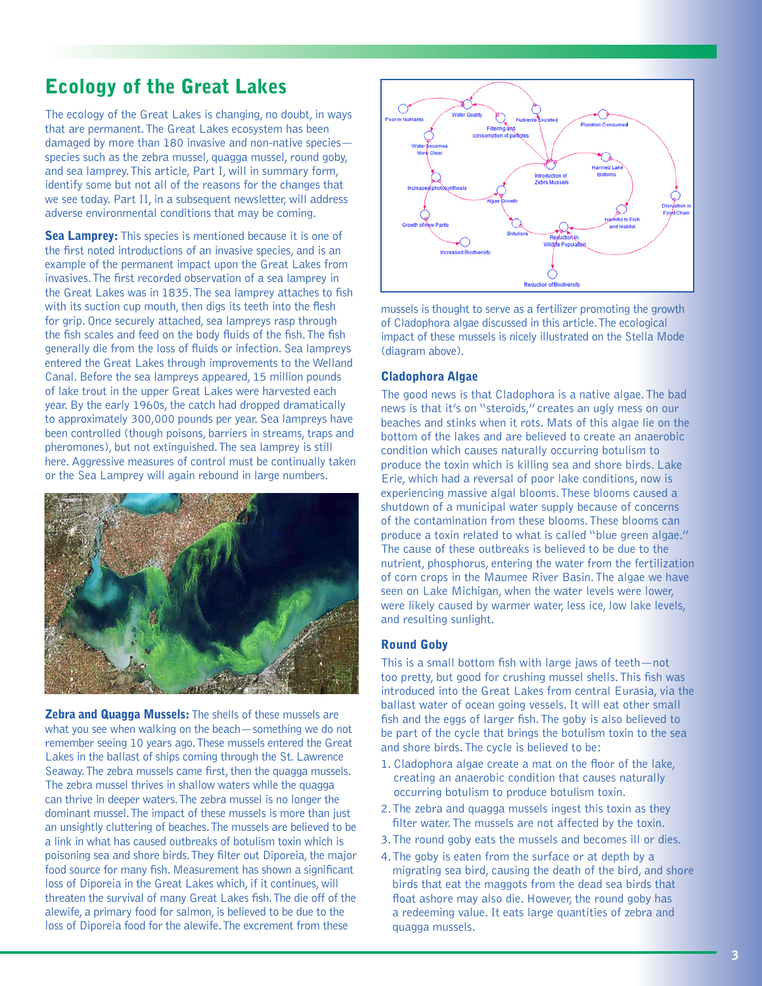# Ecology of the Great Lakes

The ecology of the Great Lakes is changing, no doubt, in ways that are permanent. The Great Lakes ecosystem has been damaged by more than 180 invasive and non-native species species such as the zebra mussel, quagga mussel, round goby, and sea lamprey. This article, Part I, will in summary form, identify some but not all of the reasons for the changes that we see today. Part II, in a subsequent newsletter, will address adverse environmental conditions that may be coming.

Sea Lamprey: This species is mentioned because it is one of the first noted introductions of an invasive species, and is an example of the permanent impact upon the Great Lakes from invasives. The first recorded observation of a sea lamprey in the Great Lakes was in 1835. The sea lamprey attaches to fish with its suction cup mouth, then digs its teeth into the flesh for grip. Once securely attached, sea lampreys rasp through the fish scales and feed on the body fluids of the fish. The fish generally die from the loss of fluids or infection. Sea lampreys entered the Great Lakes through improvements to the Welland Canal. Before the sea lampreys appeared, 15 million pounds of lake trout in the upper Great Lakes were harvested each year. By the early 1960s, the catch had dropped dramatically to approximately 300,000 pounds per year. Sea lampreys have been controlled (though poisons, barriers in streams, traps and pheromones), but not extinguished. The sea lamprey is still here. Aggressive measures of control must be continually taken or the Sea Lamprey will again rebound in large numbers.



**Zebra and Quagga Mussels:** The shells of these mussels are what you see when walking on the beach—something we do not remember seeing 10 years ago. These mussels entered the Great Lakes in the ballast of ships coming through the St. Lawrence Seaway. The zebra mussels came first, then the quagga mussels. The zebra mussel thrives in shallow waters while the quagga can thrive in deeper waters. The zebra mussel is no longer the dominant mussel. The impact of these mussels is more than just an unsightly cluttering of beaches. The mussels are believed to be a link in what has caused outbreaks of botulism toxin which is poisoning sea and shore birds. They filter out Diporeia, the major food source for many fish. Measurement has shown a significant loss of Diporeia in the Great Lakes which, if it continues, will threaten the survival of many Great Lakes fish. The die off of the alewife, a primary food for salmon, is believed to be due to the loss of Diporeia food for the alewife. The excrement from these



mussels is thought to serve as a fertilizer promoting the growth of Cladophora algae discussed in this article. The ecological impact of these mussels is nicely illustrated on the Stella Mode (diagram above).

#### Cladophora Algae

The good news is that Cladophora is a native algae. The bad news is that it's on "steroids," creates an ugly mess on our beaches and stinks when it rots. Mats of this algae lie on the bottom of the lakes and are believed to create an anaerobic condition which causes naturally occurring botulism to produce the toxin which is killing sea and shore birds. Lake Erie, which had a reversal of poor lake conditions, now is experiencing massive algal blooms. These blooms caused a shutdown of a municipal water supply because of concerns of the contamination from these blooms. These blooms can produce a toxin related to what is called "blue green algae." The cause of these outbreaks is believed to be due to the nutrient, phosphorus, entering the water from the fertilization of corn crops in the Maumee River Basin. The algae we have seen on Lake Michigan, when the water levels were lower, were likely caused by warmer water, less ice, low lake levels, and resulting sunlight.

#### Round Goby

This is a small bottom fish with large jaws of teeth—not too pretty, but good for crushing mussel shells. This fish was introduced into the Great Lakes from central Eurasia, via the ballast water of ocean going vessels. It will eat other small fish and the eggs of larger fish. The goby is also believed to be part of the cycle that brings the botulism toxin to the sea and shore birds. The cycle is believed to be:

- 1. Cladophora algae create a mat on the floor of the lake, creating an anaerobic condition that causes naturally occurring botulism to produce botulism toxin.
- 2. The zebra and quagga mussels ingest this toxin as they filter water. The mussels are not affected by the toxin.
- 3. The round goby eats the mussels and becomes ill or dies.
- 4. The goby is eaten from the surface or at depth by a migrating sea bird, causing the death of the bird, and shore birds that eat the maggots from the dead sea birds that float ashore may also die. However, the round goby has a redeeming value. It eats large quantities of zebra and quagga mussels.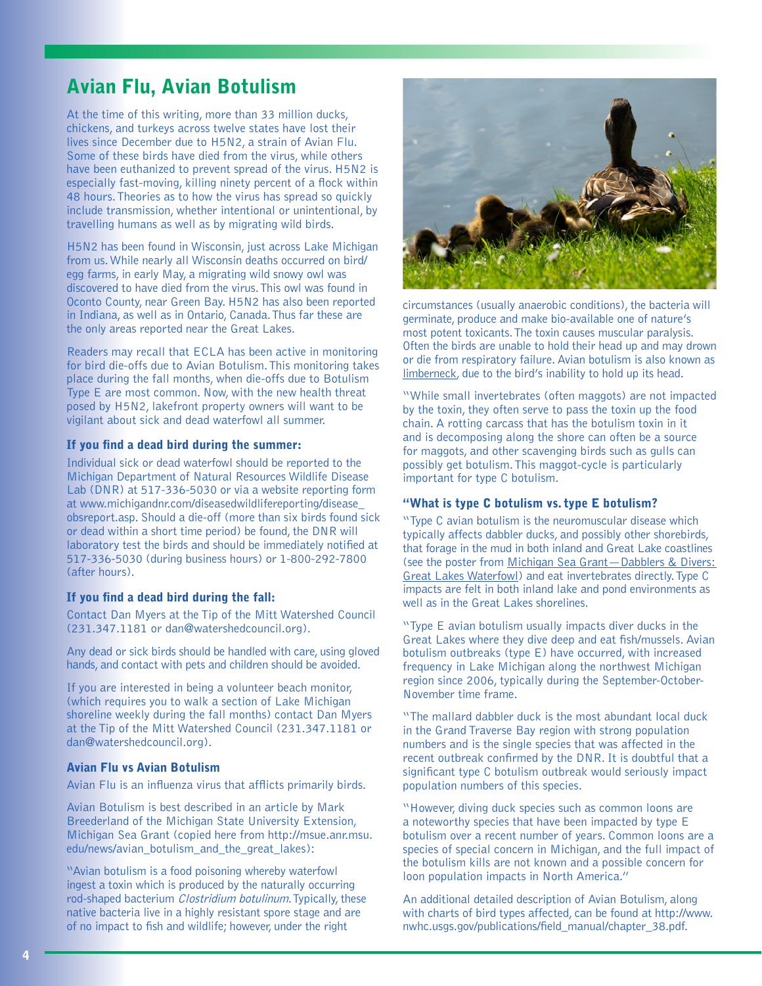## Avian Flu, Avian Botulism

At the time of this writing, more than 33 million ducks, chickens, and turkeys across twelve states have lost their lives since December due to H5N2, a strain of Avian Flu. Some of these birds have died from the virus, while others have been euthanized to prevent spread of the virus. H5N2 is especially fast-moving, killing ninety percent of a flock within 48 hours. Theories as to how the virus has spread so quickly include transmission, whether intentional or unintentional, by travelling humans as well as by migrating wild birds.

H5N2 has been found in Wisconsin, just across Lake Michigan from us. While nearly all Wisconsin deaths occurred on bird/ egg farms, in early May, a migrating wild snowy owl was discovered to have died from the virus. This owl was found in Oconto County, near Green Bay. H5N2 has also been reported in Indiana, as well as in Ontario, Canada. Thus far these are the only areas reported near the Great Lakes.

Readers may recall that ECLA has been active in monitoring for bird die-offs due to Avian Botulism. This monitoring takes place during the fall months, when die-offs due to Botulism Type E are most common. Now, with the new health threat posed by H5N2, lakefront property owners will want to be vigilant about sick and dead waterfowl all summer.

#### If you find a dead bird during the summer:

Individual sick or dead waterfowl should be reported to the Michigan Department of Natural Resources Wildlife Disease Lab (DNR) at 517-336-5030 or via a website reporting form at www.michigandnr.com/diseasedwildlifereporting/disease\_ obsreport.asp. Should a die-off (more than six birds found sick or dead within a short time period) be found, the DNR will laboratory test the birds and should be immediately notified at 517-336-5030 (during business hours) or 1-800-292-7800 (after hours).

#### If you find a dead bird during the fall:

Contact Dan Myers at the Tip of the Mitt Watershed Council (231.347.1181 or dan@watershedcouncil.org).

Any dead or sick birds should be handled with care, using gloved hands, and contact with pets and children should be avoided.

If you are interested in being a volunteer beach monitor, (which requires you to walk a section of Lake Michigan shoreline weekly during the fall months) contact Dan Myers at the Tip of the Mitt Watershed Council (231.347.1181 or dan@watershedcouncil.org).

#### Avian Flu vs Avian Botulism

Avian Flu is an influenza virus that afflicts primarily birds.

Avian Botulism is best described in an article by Mark Breederland of the Michigan State University Extension, Michigan Sea Grant (copied here from http://msue.anr.msu. edu/news/avian\_botulism\_and\_the\_great\_lakes):

"Avian botulism is a food poisoning whereby waterfowl ingest a toxin which is produced by the naturally occurring rod-shaped bacterium Clostridium botulinum. Typically, these native bacteria live in a highly resistant spore stage and are of no impact to fish and wildlife; however, under the right



circumstances (usually anaerobic conditions), the bacteria will germinate, produce and make bio-available one of nature's most potent toxicants. The toxin causes muscular paralysis. Often the birds are unable to hold their head up and may drown or die from respiratory failure. Avian botulism is also known as limberneck, due to the bird's inability to hold up its head.

"While small invertebrates (often maggots) are not impacted by the toxin, they often serve to pass the toxin up the food chain. A rotting carcass that has the botulism toxin in it and is decomposing along the shore can often be a source for maggots, and other scavenging birds such as gulls can possibly get botulism. This maggot-cycle is particularly important for type C botulism.

#### "What is type C botulism vs. type E botulism?

"Type C avian botulism is the neuromuscular disease which typically affects dabbler ducks, and possibly other shorebirds, that forage in the mud in both inland and Great Lake coastlines (see the poster from Michigan Sea Grant—Dabblers & Divers: Great Lakes Waterfowl) and eat invertebrates directly. Type C impacts are felt in both inland lake and pond environments as well as in the Great Lakes shorelines.

"Type E avian botulism usually impacts diver ducks in the Great Lakes where they dive deep and eat fish/mussels. Avian botulism outbreaks (type E) have occurred, with increased frequency in Lake Michigan along the northwest Michigan region since 2006, typically during the September-October-November time frame.

"The mallard dabbler duck is the most abundant local duck in the Grand Traverse Bay region with strong population numbers and is the single species that was affected in the recent outbreak confirmed by the DNR. It is doubtful that a significant type C botulism outbreak would seriously impact population numbers of this species.

"However, diving duck species such as common loons are a noteworthy species that have been impacted by type E botulism over a recent number of years. Common loons are a species of special concern in Michigan, and the full impact of the botulism kills are not known and a possible concern for loon population impacts in North America."

An additional detailed description of Avian Botulism, along with charts of bird types affected, can be found at http://www. nwhc.usgs.gov/publications/field\_manual/chapter\_38.pdf.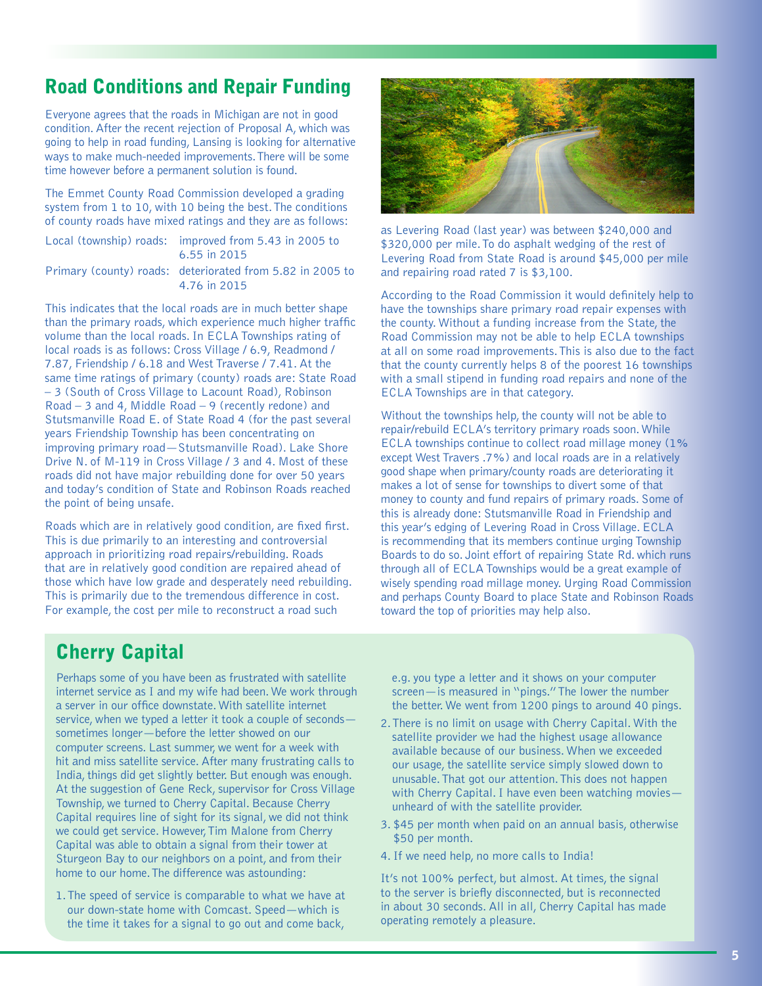### Road Conditions and Repair Funding

Everyone agrees that the roads in Michigan are not in good condition. After the recent rejection of Proposal A, which was going to help in road funding, Lansing is looking for alternative ways to make much-needed improvements. There will be some time however before a permanent solution is found.

The Emmet County Road Commission developed a grading system from 1 to 10, with 10 being the best. The conditions of county roads have mixed ratings and they are as follows:

| Local (township) roads: improved from 5.43 in 2005 to<br>6.55 in 2015     |
|---------------------------------------------------------------------------|
| Primary (county) roads: deteriorated from 5.82 in 2005 to<br>4 76 in 2015 |

This indicates that the local roads are in much better shape than the primary roads, which experience much higher traffic volume than the local roads. In ECLA Townships rating of local roads is as follows: Cross Village / 6.9, Readmond / 7.87, Friendship / 6.18 and West Traverse / 7.41. At the same time ratings of primary (county) roads are: State Road – 3 (South of Cross Village to Lacount Road), Robinson Road – 3 and 4, Middle Road – 9 (recently redone) and Stutsmanville Road E. of State Road 4 (for the past several years Friendship Township has been concentrating on improving primary road—Stutsmanville Road). Lake Shore Drive N. of M-119 in Cross Village / 3 and 4. Most of these roads did not have major rebuilding done for over 50 years and today's condition of State and Robinson Roads reached the point of being unsafe.

Roads which are in relatively good condition, are fixed first. This is due primarily to an interesting and controversial approach in prioritizing road repairs/rebuilding. Roads that are in relatively good condition are repaired ahead of those which have low grade and desperately need rebuilding. This is primarily due to the tremendous difference in cost. For example, the cost per mile to reconstruct a road such



as Levering Road (last year) was between \$240,000 and \$320,000 per mile. To do asphalt wedging of the rest of Levering Road from State Road is around \$45,000 per mile and repairing road rated 7 is \$3,100.

According to the Road Commission it would definitely help to have the townships share primary road repair expenses with the county. Without a funding increase from the State, the Road Commission may not be able to help ECLA townships at all on some road improvements. This is also due to the fact that the county currently helps 8 of the poorest 16 townships with a small stipend in funding road repairs and none of the ECLA Townships are in that category.

Without the townships help, the county will not be able to repair/rebuild ECLA's territory primary roads soon. While ECLA townships continue to collect road millage money (1% except West Travers .7%) and local roads are in a relatively good shape when primary/county roads are deteriorating it makes a lot of sense for townships to divert some of that money to county and fund repairs of primary roads. Some of this is already done: Stutsmanville Road in Friendship and this year's edging of Levering Road in Cross Village. ECLA is recommending that its members continue urging Township Boards to do so. Joint effort of repairing State Rd. which runs through all of ECLA Townships would be a great example of wisely spending road millage money. Urging Road Commission and perhaps County Board to place State and Robinson Roads toward the top of priorities may help also.

### **Cherry Capital**

Perhaps some of you have been as frustrated with satellite internet service as I and my wife had been. We work through a server in our office downstate. With satellite internet service, when we typed a letter it took a couple of seconds sometimes longer—before the letter showed on our computer screens. Last summer, we went for a week with hit and miss satellite service. After many frustrating calls to India, things did get slightly better. But enough was enough. At the suggestion of Gene Reck, supervisor for Cross Village Township, we turned to Cherry Capital. Because Cherry Capital requires line of sight for its signal, we did not think we could get service. However, Tim Malone from Cherry Capital was able to obtain a signal from their tower at Sturgeon Bay to our neighbors on a point, and from their home to our home. The difference was astounding:

1. The speed of service is comparable to what we have at our down-state home with Comcast. Speed—which is the time it takes for a signal to go out and come back,

e.g. you type a letter and it shows on your computer screen—is measured in "pings." The lower the number the better. We went from 1200 pings to around 40 pings.

- 2. There is no limit on usage with Cherry Capital. With the satellite provider we had the highest usage allowance available because of our business. When we exceeded our usage, the satellite service simply slowed down to unusable. That got our attention. This does not happen with Cherry Capital. I have even been watching movies unheard of with the satellite provider.
- 3. \$45 per month when paid on an annual basis, otherwise \$50 per month.
- 4. If we need help, no more calls to India!

It's not 100% perfect, but almost. At times, the signal to the server is briefly disconnected, but is reconnected in about 30 seconds. All in all, Cherry Capital has made operating remotely a pleasure.